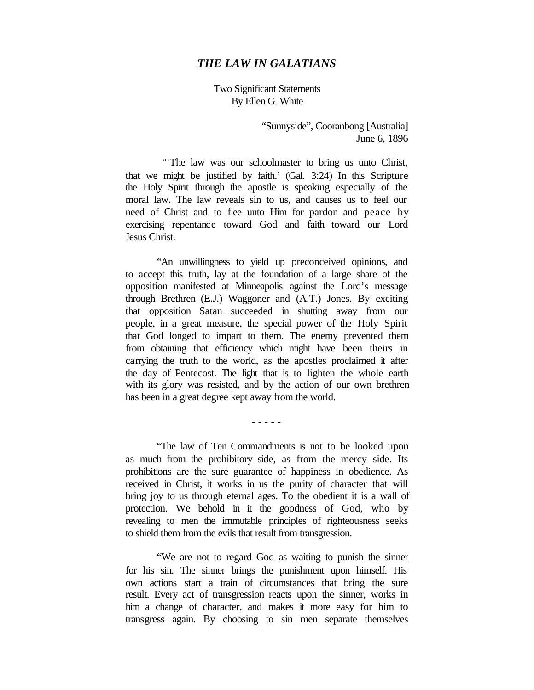## *THE LAW IN GALATIANS*

## Two Significant Statements By Ellen G. White

## "Sunnyside", Cooranbong [Australia] June 6, 1896

"The law was our schoolmaster to bring us unto Christ, that we might be justified by faith.' (Gal. 3:24) In this Scripture the Holy Spirit through the apostle is speaking especially of the moral law. The law reveals sin to us, and causes us to feel our need of Christ and to flee unto Him for pardon and peace by exercising repentance toward God and faith toward our Lord Jesus Christ.

"An unwillingness to yield up preconceived opinions, and to accept this truth, lay at the foundation of a large share of the opposition manifested at Minneapolis against the Lord's message through Brethren (E.J.) Waggoner and (A.T.) Jones. By exciting that opposition Satan succeeded in shutting away from our people, in a great measure, the special power of the Holy Spirit that God longed to impart to them. The enemy prevented them from obtaining that efficiency which might have been theirs in carrying the truth to the world, as the apostles proclaimed it after the day of Pentecost. The light that is to lighten the whole earth with its glory was resisted, and by the action of our own brethren has been in a great degree kept away from the world.

- - - - -

"The law of Ten Commandments is not to be looked upon as much from the prohibitory side, as from the mercy side. Its prohibitions are the sure guarantee of happiness in obedience. As received in Christ, it works in us the purity of character that will bring joy to us through eternal ages. To the obedient it is a wall of protection. We behold in it the goodness of God, who by revealing to men the immutable principles of righteousness seeks to shield them from the evils that result from transgression.

"We are not to regard God as waiting to punish the sinner for his sin. The sinner brings the punishment upon himself. His own actions start a train of circumstances that bring the sure result. Every act of transgression reacts upon the sinner, works in him a change of character, and makes it more easy for him to transgress again. By choosing to sin men separate themselves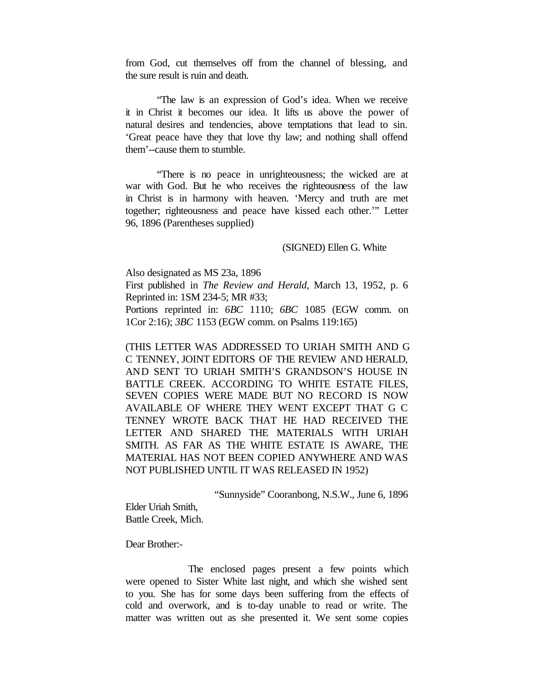from God, cut themselves off from the channel of blessing, and the sure result is ruin and death.

"The law is an expression of God's idea. When we receive it in Christ it becomes our idea. It lifts us above the power of natural desires and tendencies, above temptations that lead to sin. 'Great peace have they that love thy law; and nothing shall offend them'--cause them to stumble.

"There is no peace in unrighteousness; the wicked are at war with God. But he who receives the righteousness of the law in Christ is in harmony with heaven. 'Mercy and truth are met together; righteousness and peace have kissed each other.'" Letter 96, 1896 (Parentheses supplied)

## (SIGNED) Ellen G. White

Also designated as MS 23a, 1896 First published in *The Review and Herald*, March 13, 1952, p. 6 Reprinted in: 1SM 234-5; MR #33; Portions reprinted in: *6BC* 1110; *6BC* 1085 (EGW comm. on 1Cor 2:16); *3BC* 1153 (EGW comm. on Psalms 119:165)

(THIS LETTER WAS ADDRESSED TO URIAH SMITH AND G C TENNEY, JOINT EDITORS OF THE REVIEW AND HERALD, AND SENT TO URIAH SMITH'S GRANDSON'S HOUSE IN BATTLE CREEK. ACCORDING TO WHITE ESTATE FILES, SEVEN COPIES WERE MADE BUT NO RECORD IS NOW AVAILABLE OF WHERE THEY WENT EXCEPT THAT G C TENNEY WROTE BACK THAT HE HAD RECEIVED THE LETTER AND SHARED THE MATERIALS WITH URIAH SMITH. AS FAR AS THE WHITE ESTATE IS AWARE, THE MATERIAL HAS NOT BEEN COPIED ANYWHERE AND WAS NOT PUBLISHED UNTIL IT WAS RELEASED IN 1952)

"Sunnyside" Cooranbong, N.S.W., June 6, 1896

Elder Uriah Smith, Battle Creek, Mich.

Dear Brother:-

The enclosed pages present a few points which were opened to Sister White last night, and which she wished sent to you. She has for some days been suffering from the effects of cold and overwork, and is to-day unable to read or write. The matter was written out as she presented it. We sent some copies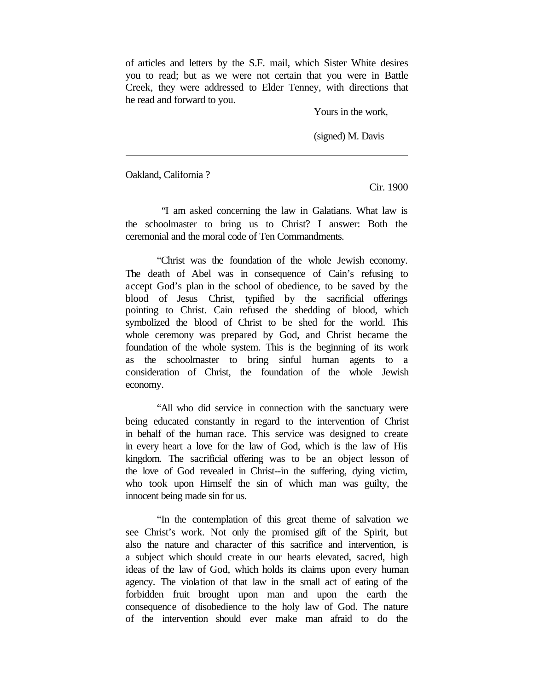of articles and letters by the S.F. mail, which Sister White desires you to read; but as we were not certain that you were in Battle Creek, they were addressed to Elder Tenney, with directions that he read and forward to you.

Yours in the work,

(signed) M. Davis

Oakland, California ?

Cir. 1900

"I am asked concerning the law in Galatians. What law is the schoolmaster to bring us to Christ? I answer: Both the ceremonial and the moral code of Ten Commandments.

"Christ was the foundation of the whole Jewish economy. The death of Abel was in consequence of Cain's refusing to accept God's plan in the school of obedience, to be saved by the blood of Jesus Christ, typified by the sacrificial offerings pointing to Christ. Cain refused the shedding of blood, which symbolized the blood of Christ to be shed for the world. This whole ceremony was prepared by God, and Christ became the foundation of the whole system. This is the beginning of its work as the schoolmaster to bring sinful human agents to a consideration of Christ, the foundation of the whole Jewish economy.

"All who did service in connection with the sanctuary were being educated constantly in regard to the intervention of Christ in behalf of the human race. This service was designed to create in every heart a love for the law of God, which is the law of His kingdom. The sacrificial offering was to be an object lesson of the love of God revealed in Christ--in the suffering, dying victim, who took upon Himself the sin of which man was guilty, the innocent being made sin for us.

"In the contemplation of this great theme of salvation we see Christ's work. Not only the promised gift of the Spirit, but also the nature and character of this sacrifice and intervention, is a subject which should create in our hearts elevated, sacred, high ideas of the law of God, which holds its claims upon every human agency. The violation of that law in the small act of eating of the forbidden fruit brought upon man and upon the earth the consequence of disobedience to the holy law of God. The nature of the intervention should ever make man afraid to do the